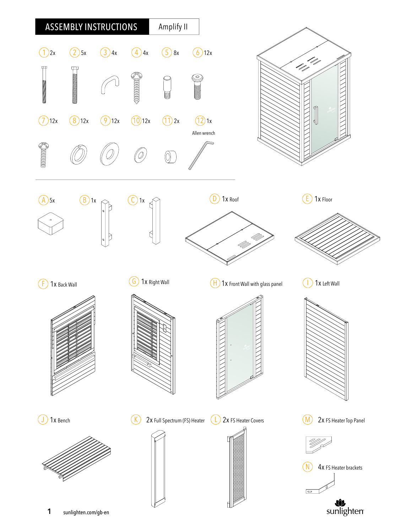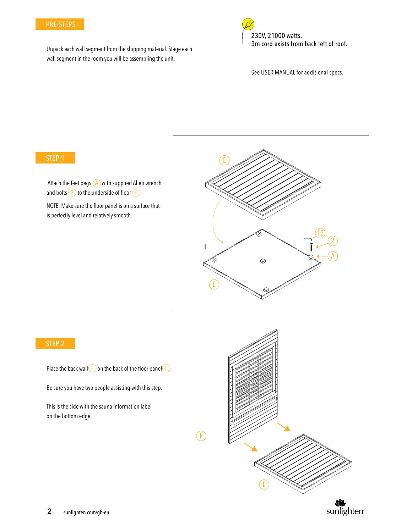#### PRE-STEPS

Unpack each wall segment from the shipping material. Stage each wall segment in the room you will be assembling the unit.

230V, 21000 watts. 3m cord exists from back left of roof. See USER MANUAL for additional specs.

### STEP 1

Attach the feet pegs  $(A)$  with supplied Allen wrench and bolts  $(2)$  to the underside of floor  $(E)$ .

NOTE: Make sure the floor panel is on a surface that is perfectly level and relatively smooth.



#### STEP 2

Place the back wall  $\left(\frac{F}{F}\right)$  on the back of the floor panel  $\left(\frac{F}{F}\right)$ .

Be sure you have two people assisting with this step.

This is the side with the sauna information label on the bottom edge.

 $(F)$ 

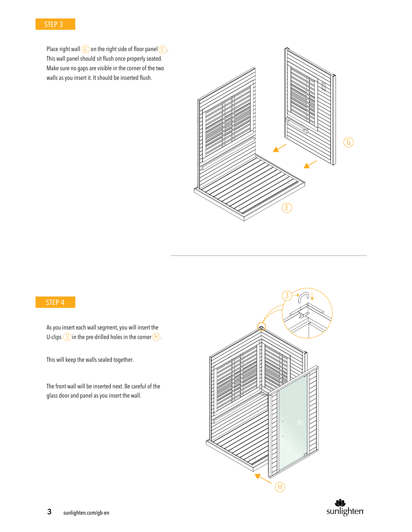

Place right wall  $\left(\frac{G}{D}\right)$  on the right side of floor panel  $\left(\frac{F}{D}\right)$ . This wall panel should sit flush once properly seated. Make sure no gaps are visible in the corner of the two walls as you insert it. It should be inserted flush.



# STEP 4

As you insert each wall segment, you will insert the U-clips  $(3)$  in the pre-drilled holes in the corner  $(H)$ .

This will keep the walls sealed together.

The front wall will be inserted next. Be careful of the glass door and panel as you insert the wall.



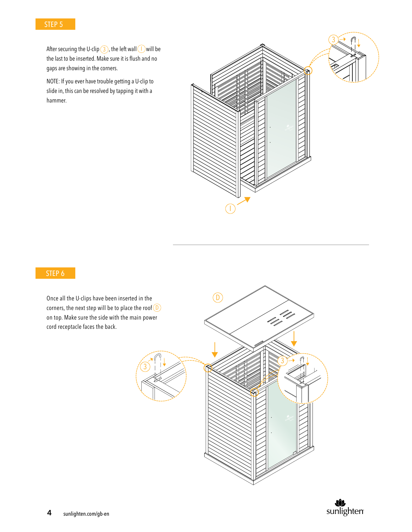

After securing the U-clip  $(3)$ , the left wall  $\bigcup$  will be the last to be inserted. Make sure it is flush and no gaps are showing in the corners.

NOTE: If you ever have trouble getting a U-clip to slide in, this can be resolved by tapping it with a hammer.



## STEP 6

Once all the U-clips have been inserted in the corners, the next step will be to place the roof  $\Box$ on top. Make sure the side with the main power cord receptacle faces the back.



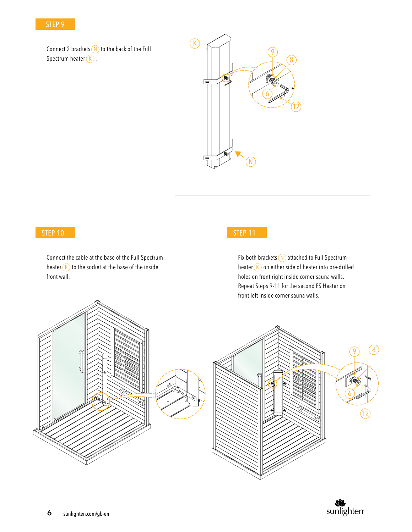### STEP 9

Connect 2 brackets  $(N)$  to the back of the Full Spectrum heater  $\circledk$ .



## STEP 10

Connect the cable at the base of the Full Spectrum heater  $(K)$  to the socket at the base of the inside  $\overline{K}$ front wall.

## STEP 11

Fix both brackets (N) attached to Full Spectrum heater  $\overline{K}$  on either side of heater into pre-drilled holes on front right inside corner sauna walls. Repeat Steps 9-11 for the second FS Heater on front left inside corner sauna walls.



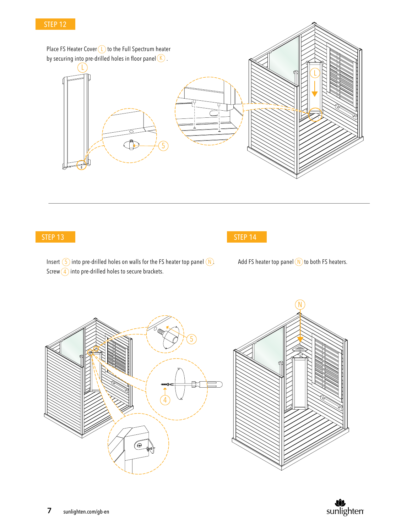### STEP 12



#### STEP 13



Insert  $(5)$  into pre-drilled holes on walls for the FS heater top panel  $(N)$ . Screw $\left(4\right)$  into pre-drilled holes to secure brackets.

Add FS heater top panel  $(N)$  to both FS heaters.